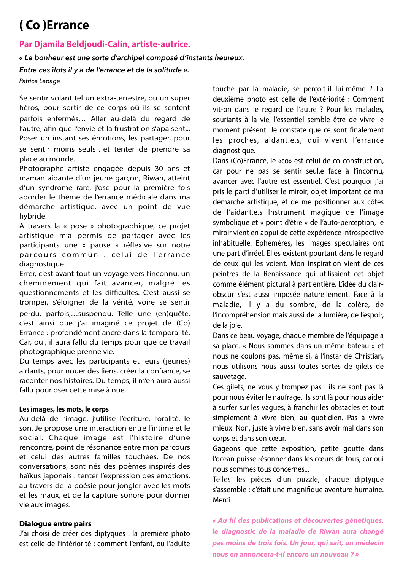# **(Co)Errance**

## Par Diamila Beldjoudi-Calin, artiste-autrice.

### *« Le bonheur est une sorte d'archipel composé d'instants heureux.*

*Entre ces îlots il y a de l'errance et de la solitude ». Patrice Lepage*

Se sentir volant tel un extra-terrestre, ou un super héros, pour sortir de ce corps où ils se sentent parfois enfermés... Aller au-delà du regard de l'autre, afin que l'envie et la frustration s'apaisent... Poser un instant ses émotions, les partager, pour se sentir moins seuls...et tenter de prendre sa place au monde.

Photographe artiste engagée depuis 30 ans et maman aidante d'un jeune garçon, Riwan, atteint d'un syndrome rare, j'ose pour la première fois aborder le thème de l'errance médicale dans ma démarche artistique, avec un point de vue hybride.

A travers la « pose » photographique, ce projet artistique m'a permis de partager avec les participants une « pause » réflexive sur notre parcours commun : celui de l'errance diagnostique.

Errer, c'est avant tout un voyage vers l'inconnu, un cheminement qui fait avancer, malgré les questionnements et les difficultés. C'est aussi se tromper, s'éloigner de la vérité, voire se sentir perdu, parfois,...suspendu. Telle une (en)quête, c'est ainsi que j'ai imaginé ce projet de (Co) Errance : profondément ancré dans la temporalité. Car, oui, il aura fallu du temps pour que ce travail photographique prenne vie.

Du temps avec les participants et leurs (jeunes) aidants, pour nouer des liens, créer la confiance, se raconter nos histoires. Du temps, il m'en aura aussi fallu pour oser cette mise à nue.

#### Les images, les mots, le corps

Au-delà de l'image, j'utilise l'écriture, l'oralité, le son. Je propose une interaction entre l'intime et le social. Chaque image est l'histoire d'une rencontre, point de résonance entre mon parcours et celui des autres familles touchées. De nos conversations, sont nés des poèmes inspirés des haïkus japonais : tenter l'expression des émotions, au travers de la poésie pour jongler avec les mots et les maux, et de la capture sonore pour donner vie aux images.

#### **Dialogue entre pairs**

J'ai choisi de créer des diptyques : la première photo est celle de l'intériorité : comment l'enfant, ou l'adulte

touché par la maladie, se percoit-il lui-même ? La deuxième photo est celle de l'extériorité : Comment vit-on dans le regard de l'autre ? Pour les malades, souriants à la vie, l'essentiel semble être de vivre le moment présent. Je constate que ce sont finalement les proches, aidant.e.s, qui vivent l'errance diagnostique.

Dans (Co)Errance, le «co» est celui de co-construction, car pour ne pas se sentir seul.e face à l'inconnu, avancer avec l'autre est essentiel. C'est pourquoi j'ai pris le parti d'utiliser le miroir, objet important de ma démarche artistique, et de me positionner aux côtés de l'aidant.e.s Instrument magique de l'image symbolique et « point d'être » de l'auto-perception, le miroir vient en appui de cette expérience introspective inhabituelle. Ephémères, les images spéculaires ont une part d'irréel. Elles existent pourtant dans le regard de ceux qui les voient. Mon inspiration vient de ces peintres de la Renaissance qui utilisaient cet objet comme élément pictural à part entière. L'idée du clairobscur s'est aussi imposée naturellement. Face à la maladie, il y a du sombre, de la colère, de l'incompréhension mais aussi de la lumière, de l'espoir, de la ioie.

Dans ce beau voyage, chaque membre de l'équipage a sa place. « Nous sommes dans un même bateau » et nous ne coulons pas, même si, à l'instar de Christian, nous utilisons nous aussi toutes sortes de gilets de sauvetage.

Ces gilets, ne vous y trompez pas : ils ne sont pas là pour nous éviter le naufrage. Ils sont là pour nous aider à surfer sur les vagues, à franchir les obstacles et tout simplement à vivre bien, au quotidien. Pas à vivre mieux. Non, juste à vivre bien, sans avoir mal dans son corps et dans son cœur.

Gageons que cette exposition, petite goutte dans l'océan puisse résonner dans les cœurs de tous, car oui nous sommes tous concernés...

Telles les pièces d'un puzzle, chaque diptyque s'assemble : c'était une magnifique aventure humaine. Merci.

*« Au fil des publications et découvertes génétiques, le diagnostic de la maladie de Riwan aura changé pas moins de trois fois. Un jour, qui sait, un médecin nous en annoncera-t-il encore un nouveau ? »*